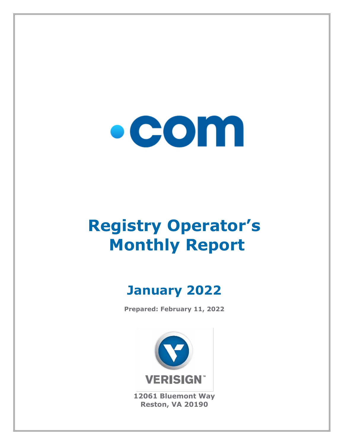

# **Registry Operator's Monthly Report**

## **January 2022**

**Prepared: February 11, 2022**



**12061 Bluemont Way Reston, VA 20190**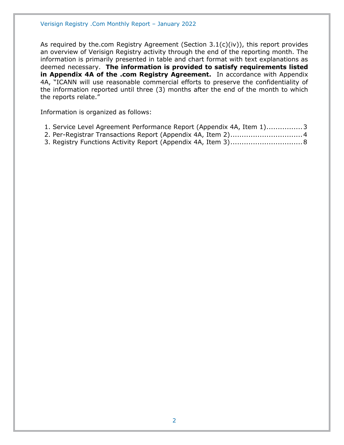As required by the.com Registry Agreement (Section  $3.1(c)(iv)$ ), this report provides an overview of Verisign Registry activity through the end of the reporting month. The information is primarily presented in table and chart format with text explanations as deemed necessary. **The information is provided to satisfy requirements listed in Appendix 4A of the .com Registry Agreement.** In accordance with Appendix 4A, "ICANN will use reasonable commercial efforts to preserve the confidentiality of the information reported until three (3) months after the end of the month to which the reports relate."

Information is organized as follows:

| 1. Service Level Agreement Performance Report (Appendix 4A, Item 1)3 |  |  |  |
|----------------------------------------------------------------------|--|--|--|
|----------------------------------------------------------------------|--|--|--|

- [2. Per-Registrar Transactions Report \(Appendix 4A,](#page-3-0) Item 2)................................4
- [3. Registry Functions Activity Report \(Appendix 4A, Item 3\)................................8](#page-7-0)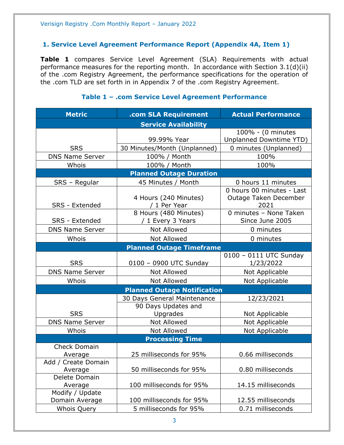#### <span id="page-2-0"></span>**1. Service Level Agreement Performance Report (Appendix 4A, Item 1)**

**Table 1** compares Service Level Agreement (SLA) Requirements with actual performance measures for the reporting month. In accordance with Section 3.1(d)(ii) of the .com Registry Agreement, the performance specifications for the operation of the .com TLD are set forth in in Appendix 7 of the .com Registry Agreement.

#### **Metric .com SLA Requirement Actual Performance Service Availability** SRS 99.99% Year 100% - (0 minutes Unplanned Downtime YTD) 30 Minutes/Month (Unplanned) | 0 minutes (Unplanned) DNS Name Server | 100% / Month | 100% Whois 100% / Month 100% **Planned Outage Duration** SRS – Regular | 45 Minutes / Month | 0 hours 11 minutes SRS - Extended 4 Hours (240 Minutes) / 1 Per Year 0 hours 00 minutes - Last Outage Taken December 2021 SRS - Extended 8 Hours (480 Minutes) / 1 Every 3 Years 0 minutes – None Taken Since June 2005 DNS Name Server  $\begin{array}{ccc} \hline \text{Not} & \text{Allowed} & \text{O} & \text{O} \\ \hline \end{array}$ Whois  $\vert$  Not Allowed  $\vert$  0 minutes **Planned Outage Timeframe** SRS | 0100 – 0900 UTC Sunday 0100 – 0111 UTC Sunday 1/23/2022 DNS Name Server | Not Allowed | Not Applicable Whois  $\vert$  Not Allowed  $\vert$  Not Applicable **Planned Outage Notification** SRS 30 Days General Maintenance 12/23/2021 90 Days Updates and Upgrades | Not Applicable DNS Name Server | Not Allowed | Not Applicable Whois | Not Allowed | Not Applicable **Processing Time** Check Domain Average 25 milliseconds for 95% 0.66 milliseconds Add / Create Domain Average 1.1 50 milliseconds for 95% 1.1 0.80 milliseconds Delete Domain Average 100 milliseconds for 95% 14.15 milliseconds Modify / Update Domain Average 100 milliseconds for 95% 12.55 milliseconds Whois Query 5 milliseconds for 95% 0.71 milliseconds

#### **Table 1 – .com Service Level Agreement Performance**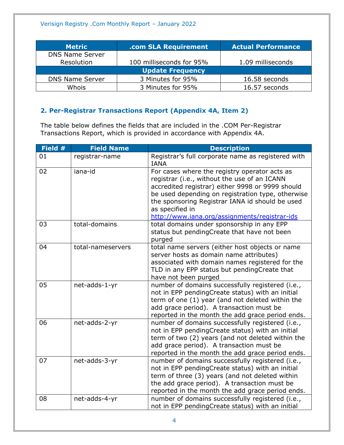| <b>Metric</b>           | .com SLA Requirement     | <b>Actual Performance</b> |
|-------------------------|--------------------------|---------------------------|
| <b>DNS Name Server</b>  |                          |                           |
| Resolution              | 100 milliseconds for 95% | 1.09 milliseconds         |
| <b>Update Frequency</b> |                          |                           |
| <b>DNS Name Server</b>  | 3 Minutes for 95%        | 16.58 seconds             |
| Whois                   | 3 Minutes for 95%        | 16.57 seconds             |

### <span id="page-3-0"></span>**2. Per-Registrar Transactions Report (Appendix 4A, Item 2)**

The table below defines the fields that are included in the .COM Per-Registrar Transactions Report, which is provided in accordance with Appendix 4A.

| Field # | <b>Field Name</b> | <b>Description</b>                                                                                                                                                                                                                                                                                                            |
|---------|-------------------|-------------------------------------------------------------------------------------------------------------------------------------------------------------------------------------------------------------------------------------------------------------------------------------------------------------------------------|
| 01      | registrar-name    | Registrar's full corporate name as registered with<br><b>IANA</b>                                                                                                                                                                                                                                                             |
| 02      | iana-id           | For cases where the registry operator acts as<br>registrar (i.e., without the use of an ICANN<br>accredited registrar) either 9998 or 9999 should<br>be used depending on registration type, otherwise<br>the sponsoring Registrar IANA id should be used<br>as specified in<br>http://www.iana.org/assignments/registrar-ids |
| 03      | total-domains     | total domains under sponsorship in any EPP<br>status but pendingCreate that have not been<br>purged                                                                                                                                                                                                                           |
| 04      | total-nameservers | total name servers (either host objects or name<br>server hosts as domain name attributes)<br>associated with domain names registered for the<br>TLD in any EPP status but pendingCreate that<br>have not been purged                                                                                                         |
| 05      | net-adds-1-yr     | number of domains successfully registered (i.e.,<br>not in EPP pendingCreate status) with an initial<br>term of one (1) year (and not deleted within the<br>add grace period). A transaction must be<br>reported in the month the add grace period ends.                                                                      |
| 06      | net-adds-2-yr     | number of domains successfully registered (i.e.,<br>not in EPP pendingCreate status) with an initial<br>term of two (2) years (and not deleted within the<br>add grace period). A transaction must be<br>reported in the month the add grace period ends.                                                                     |
| 07      | net-adds-3-yr     | number of domains successfully registered (i.e.,<br>not in EPP pendingCreate status) with an initial<br>term of three (3) years (and not deleted within<br>the add grace period). A transaction must be<br>reported in the month the add grace period ends.                                                                   |
| 08      | net-adds-4-yr     | number of domains successfully registered (i.e.,<br>not in EPP pendingCreate status) with an initial                                                                                                                                                                                                                          |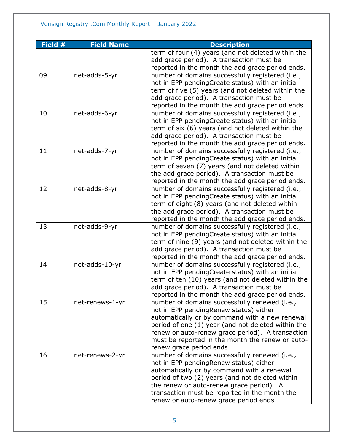| Field $#$ | <b>Field Name</b> | <b>Description</b>                                                                   |
|-----------|-------------------|--------------------------------------------------------------------------------------|
|           |                   | term of four (4) years (and not deleted within the                                   |
|           |                   | add grace period). A transaction must be                                             |
|           |                   | reported in the month the add grace period ends.                                     |
| 09        | net-adds-5-yr     | number of domains successfully registered (i.e.,                                     |
|           |                   | not in EPP pendingCreate status) with an initial                                     |
|           |                   | term of five (5) years (and not deleted within the                                   |
|           |                   | add grace period). A transaction must be                                             |
|           |                   | reported in the month the add grace period ends.                                     |
| 10        | net-adds-6-yr     | number of domains successfully registered (i.e.,                                     |
|           |                   | not in EPP pendingCreate status) with an initial                                     |
|           |                   | term of six (6) years (and not deleted within the                                    |
|           |                   | add grace period). A transaction must be                                             |
|           |                   | reported in the month the add grace period ends.                                     |
| 11        | net-adds-7-yr     | number of domains successfully registered (i.e.,                                     |
|           |                   | not in EPP pendingCreate status) with an initial                                     |
|           |                   | term of seven (7) years (and not deleted within                                      |
|           |                   | the add grace period). A transaction must be                                         |
|           |                   | reported in the month the add grace period ends.                                     |
| 12        | net-adds-8-yr     | number of domains successfully registered (i.e.,                                     |
|           |                   | not in EPP pendingCreate status) with an initial                                     |
|           |                   | term of eight (8) years (and not deleted within                                      |
|           |                   | the add grace period). A transaction must be                                         |
|           |                   | reported in the month the add grace period ends.                                     |
| 13        | net-adds-9-yr     | number of domains successfully registered (i.e.,                                     |
|           |                   | not in EPP pendingCreate status) with an initial                                     |
|           |                   | term of nine (9) years (and not deleted within the                                   |
|           |                   | add grace period). A transaction must be                                             |
|           |                   | reported in the month the add grace period ends.                                     |
| 14        | net-adds-10-yr    | number of domains successfully registered (i.e.,                                     |
|           |                   | not in EPP pendingCreate status) with an initial                                     |
|           |                   | term of ten (10) years (and not deleted within the                                   |
|           |                   | add grace period). A transaction must be                                             |
|           |                   | reported in the month the add grace period ends.                                     |
| 15        | net-renews-1-yr   | number of domains successfully renewed (i.e.,                                        |
|           |                   | not in EPP pendingRenew status) either                                               |
|           |                   | automatically or by command with a new renewal                                       |
|           |                   | period of one (1) year (and not deleted within the                                   |
|           |                   | renew or auto-renew grace period). A transaction                                     |
|           |                   | must be reported in the month the renew or auto-                                     |
| 16        | net-renews-2-yr   | renew grace period ends.<br>number of domains successfully renewed (i.e.,            |
|           |                   |                                                                                      |
|           |                   | not in EPP pendingRenew status) either<br>automatically or by command with a renewal |
|           |                   | period of two (2) years (and not deleted within                                      |
|           |                   | the renew or auto-renew grace period). A                                             |
|           |                   | transaction must be reported in the month the                                        |
|           |                   | renew or auto-renew grace period ends.                                               |
|           |                   |                                                                                      |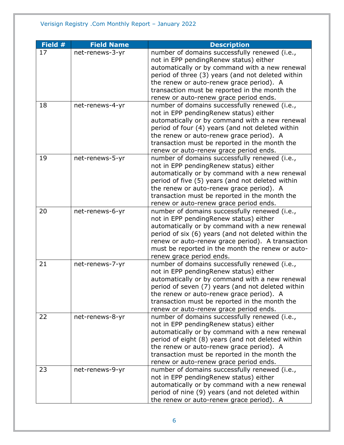| Field # | <b>Field Name</b> | <b>Description</b>                                                                                   |
|---------|-------------------|------------------------------------------------------------------------------------------------------|
| 17      | net-renews-3-yr   | number of domains successfully renewed (i.e.,                                                        |
|         |                   | not in EPP pendingRenew status) either                                                               |
|         |                   | automatically or by command with a new renewal                                                       |
|         |                   | period of three (3) years (and not deleted within                                                    |
|         |                   | the renew or auto-renew grace period). A                                                             |
|         |                   | transaction must be reported in the month the                                                        |
|         |                   | renew or auto-renew grace period ends.                                                               |
| 18      | net-renews-4-yr   | number of domains successfully renewed (i.e.,                                                        |
|         |                   | not in EPP pendingRenew status) either                                                               |
|         |                   | automatically or by command with a new renewal                                                       |
|         |                   | period of four (4) years (and not deleted within                                                     |
|         |                   | the renew or auto-renew grace period). A                                                             |
|         |                   | transaction must be reported in the month the                                                        |
|         |                   | renew or auto-renew grace period ends.                                                               |
| 19      | net-renews-5-yr   | number of domains successfully renewed (i.e.,                                                        |
|         |                   | not in EPP pendingRenew status) either                                                               |
|         |                   | automatically or by command with a new renewal                                                       |
|         |                   | period of five (5) years (and not deleted within                                                     |
|         |                   | the renew or auto-renew grace period). A                                                             |
|         |                   | transaction must be reported in the month the                                                        |
|         |                   | renew or auto-renew grace period ends.                                                               |
| 20      | net-renews-6-yr   | number of domains successfully renewed (i.e.,                                                        |
|         |                   | not in EPP pendingRenew status) either                                                               |
|         |                   | automatically or by command with a new renewal                                                       |
|         |                   | period of six (6) years (and not deleted within the                                                  |
|         |                   | renew or auto-renew grace period). A transaction<br>must be reported in the month the renew or auto- |
|         |                   | renew grace period ends.                                                                             |
| 21      | net-renews-7-yr   | number of domains successfully renewed (i.e.,                                                        |
|         |                   | not in EPP pendingRenew status) either                                                               |
|         |                   | automatically or by command with a new renewal                                                       |
|         |                   | period of seven (7) years (and not deleted within                                                    |
|         |                   | the renew or auto-renew grace period). A                                                             |
|         |                   | transaction must be reported in the month the                                                        |
|         |                   | renew or auto-renew grace period ends.                                                               |
| 22      | net-renews-8-yr   | number of domains successfully renewed (i.e.,                                                        |
|         |                   | not in EPP pendingRenew status) either                                                               |
|         |                   | automatically or by command with a new renewal                                                       |
|         |                   | period of eight (8) years (and not deleted within                                                    |
|         |                   | the renew or auto-renew grace period). A                                                             |
|         |                   | transaction must be reported in the month the                                                        |
|         |                   | renew or auto-renew grace period ends.                                                               |
| 23      | net-renews-9-yr   | number of domains successfully renewed (i.e.,                                                        |
|         |                   | not in EPP pendingRenew status) either                                                               |
|         |                   | automatically or by command with a new renewal                                                       |
|         |                   | period of nine (9) years (and not deleted within                                                     |
|         |                   | the renew or auto-renew grace period). A                                                             |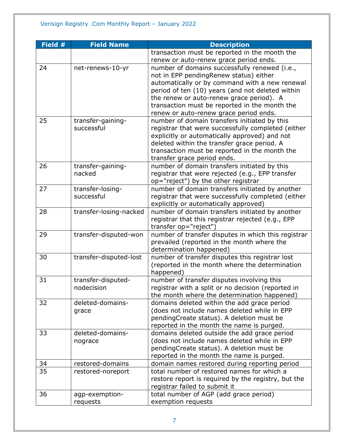| Field # | <b>Field Name</b>      | <b>Description</b>                                  |
|---------|------------------------|-----------------------------------------------------|
|         |                        | transaction must be reported in the month the       |
|         |                        | renew or auto-renew grace period ends.              |
| 24      | net-renews-10-yr       | number of domains successfully renewed (i.e.,       |
|         |                        | not in EPP pendingRenew status) either              |
|         |                        | automatically or by command with a new renewal      |
|         |                        | period of ten (10) years (and not deleted within    |
|         |                        | the renew or auto-renew grace period). A            |
|         |                        | transaction must be reported in the month the       |
|         |                        | renew or auto-renew grace period ends.              |
| 25      | transfer-gaining-      | number of domain transfers initiated by this        |
|         | successful             | registrar that were successfully completed (either  |
|         |                        | explicitly or automatically approved) and not       |
|         |                        | deleted within the transfer grace period. A         |
|         |                        | transaction must be reported in the month the       |
|         |                        | transfer grace period ends.                         |
| 26      | transfer-gaining-      | number of domain transfers initiated by this        |
|         | nacked                 | registrar that were rejected (e.g., EPP transfer    |
|         |                        | op="reject") by the other registrar                 |
| 27      | transfer-losing-       | number of domain transfers initiated by another     |
|         | successful             | registrar that were successfully completed (either  |
|         |                        | explicitly or automatically approved)               |
| 28      | transfer-losing-nacked | number of domain transfers initiated by another     |
|         |                        | registrar that this registrar rejected (e.g., EPP   |
|         |                        | transfer op="reject")                               |
| 29      | transfer-disputed-won  | number of transfer disputes in which this registrar |
|         |                        | prevailed (reported in the month where the          |
|         |                        | determination happened)                             |
| 30      | transfer-disputed-lost | number of transfer disputes this registrar lost     |
|         |                        | (reported in the month where the determination      |
|         |                        | happened)                                           |
| 31      | transfer-disputed-     | number of transfer disputes involving this          |
|         | nodecision             | registrar with a split or no decision (reported in  |
|         |                        | the month where the determination happened)         |
| 32      | deleted-domains-       | domains deleted within the add grace period         |
|         | grace                  | (does not include names deleted while in EPP        |
|         |                        | pendingCreate status). A deletion must be           |
|         |                        | reported in the month the name is purged.           |
| 33      | deleted-domains-       | domains deleted outside the add grace period        |
|         | nograce                | (does not include names deleted while in EPP        |
|         |                        | pendingCreate status). A deletion must be           |
|         |                        | reported in the month the name is purged.           |
| 34      | restored-domains       | domain names restored during reporting period       |
| 35      | restored-noreport      | total number of restored names for which a          |
|         |                        | restore report is required by the registry, but the |
|         |                        | registrar failed to submit it                       |
| 36      | agp-exemption-         | total number of AGP (add grace period)              |
|         | requests               | exemption requests                                  |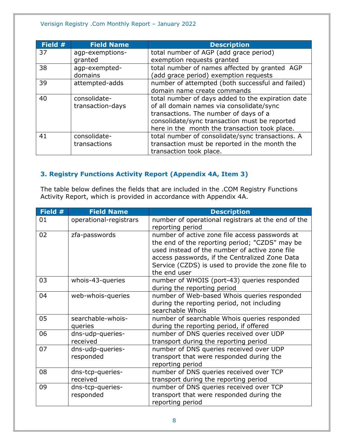#### Verisign Registry .Com Monthly Report – January 2022

| Field # | <b>Field Name</b> | <b>Description</b>                                |
|---------|-------------------|---------------------------------------------------|
| 37      | agp-exemptions-   | total number of AGP (add grace period)            |
|         | granted           | exemption requests granted                        |
| 38      | agp-exempted-     | total number of names affected by granted AGP     |
|         | domains           | (add grace period) exemption requests             |
| 39      | attempted-adds    | number of attempted (both successful and failed)  |
|         |                   | domain name create commands                       |
| 40      | consolidate-      | total number of days added to the expiration date |
|         | transaction-days  | of all domain names via consolidate/sync          |
|         |                   | transactions. The number of days of a             |
|         |                   | consolidate/sync transaction must be reported     |
|         |                   | here in the month the transaction took place.     |
| 41      | consolidate-      | total number of consolidate/sync transactions. A  |
|         | transactions      | transaction must be reported in the month the     |
|         |                   | transaction took place.                           |

### <span id="page-7-0"></span>**3. Registry Functions Activity Report (Appendix 4A, Item 3)**

The table below defines the fields that are included in the .COM Registry Functions Activity Report, which is provided in accordance with Appendix 4A.

| Field # | <b>Field Name</b>             | <b>Description</b>                                                                                                                                                                                                                                                         |
|---------|-------------------------------|----------------------------------------------------------------------------------------------------------------------------------------------------------------------------------------------------------------------------------------------------------------------------|
| 01      | operational-registrars        | number of operational registrars at the end of the<br>reporting period                                                                                                                                                                                                     |
| 02      | zfa-passwords                 | number of active zone file access passwords at<br>the end of the reporting period; "CZDS" may be<br>used instead of the number of active zone file<br>access passwords, if the Centralized Zone Data<br>Service (CZDS) is used to provide the zone file to<br>the end user |
| 03      | whois-43-queries              | number of WHOIS (port-43) queries responded<br>during the reporting period                                                                                                                                                                                                 |
| 04      | web-whois-queries             | number of Web-based Whois queries responded<br>during the reporting period, not including<br>searchable Whois                                                                                                                                                              |
| 05      | searchable-whois-<br>queries  | number of searchable Whois queries responded<br>during the reporting period, if offered                                                                                                                                                                                    |
| 06      | dns-udp-queries-<br>received  | number of DNS queries received over UDP<br>transport during the reporting period                                                                                                                                                                                           |
| 07      | dns-udp-queries-<br>responded | number of DNS queries received over UDP<br>transport that were responded during the<br>reporting period                                                                                                                                                                    |
| 08      | dns-tcp-queries-<br>received  | number of DNS queries received over TCP<br>transport during the reporting period                                                                                                                                                                                           |
| 09      | dns-tcp-queries-<br>responded | number of DNS queries received over TCP<br>transport that were responded during the<br>reporting period                                                                                                                                                                    |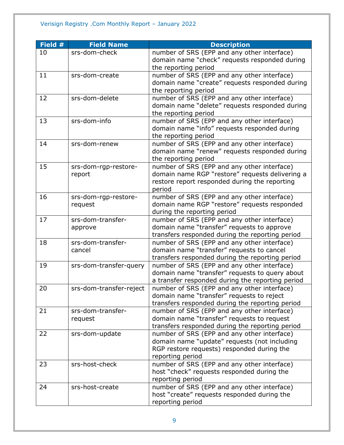#### Verisign Registry .Com Monthly Report – January 2022

| Field # | <b>Field Name</b>       | <b>Description</b>                               |
|---------|-------------------------|--------------------------------------------------|
| 10      | srs-dom-check           | number of SRS (EPP and any other interface)      |
|         |                         | domain name "check" requests responded during    |
|         |                         | the reporting period                             |
| 11      | srs-dom-create          | number of SRS (EPP and any other interface)      |
|         |                         | domain name "create" requests responded during   |
|         |                         | the reporting period                             |
| 12      | srs-dom-delete          | number of SRS (EPP and any other interface)      |
|         |                         | domain name "delete" requests responded during   |
|         |                         | the reporting period                             |
| 13      | srs-dom-info            | number of SRS (EPP and any other interface)      |
|         |                         | domain name "info" requests responded during     |
|         |                         | the reporting period                             |
| 14      | srs-dom-renew           | number of SRS (EPP and any other interface)      |
|         |                         | domain name "renew" requests responded during    |
|         |                         | the reporting period                             |
| 15      | srs-dom-rgp-restore-    | number of SRS (EPP and any other interface)      |
|         | report                  | domain name RGP "restore" requests delivering a  |
|         |                         | restore report responded during the reporting    |
|         |                         | period                                           |
| 16      | srs-dom-rgp-restore-    | number of SRS (EPP and any other interface)      |
|         | request                 | domain name RGP "restore" requests responded     |
|         |                         | during the reporting period                      |
| 17      | srs-dom-transfer-       | number of SRS (EPP and any other interface)      |
|         | approve                 | domain name "transfer" requests to approve       |
|         |                         | transfers responded during the reporting period  |
| 18      | srs-dom-transfer-       | number of SRS (EPP and any other interface)      |
|         | cancel                  | domain name "transfer" requests to cancel        |
|         |                         | transfers responded during the reporting period  |
| 19      | srs-dom-transfer-query  | number of SRS (EPP and any other interface)      |
|         |                         | domain name "transfer" requests to query about   |
|         |                         | a transfer responded during the reporting period |
| 20      | srs-dom-transfer-reject | number of SRS (EPP and any other interface)      |
|         |                         | domain name "transfer" requests to reject        |
|         |                         | transfers responded during the reporting period  |
| 21      | srs-dom-transfer-       | number of SRS (EPP and any other interface)      |
|         | request                 | domain name "transfer" requests to request       |
|         |                         | transfers responded during the reporting period  |
| 22      | srs-dom-update          | number of SRS (EPP and any other interface)      |
|         |                         | domain name "update" requests (not including     |
|         |                         | RGP restore requests) responded during the       |
|         |                         | reporting period                                 |
| 23      | srs-host-check          | number of SRS (EPP and any other interface)      |
|         |                         | host "check" requests responded during the       |
|         |                         | reporting period                                 |
| 24      | srs-host-create         | number of SRS (EPP and any other interface)      |
|         |                         | host "create" requests responded during the      |
|         |                         | reporting period                                 |